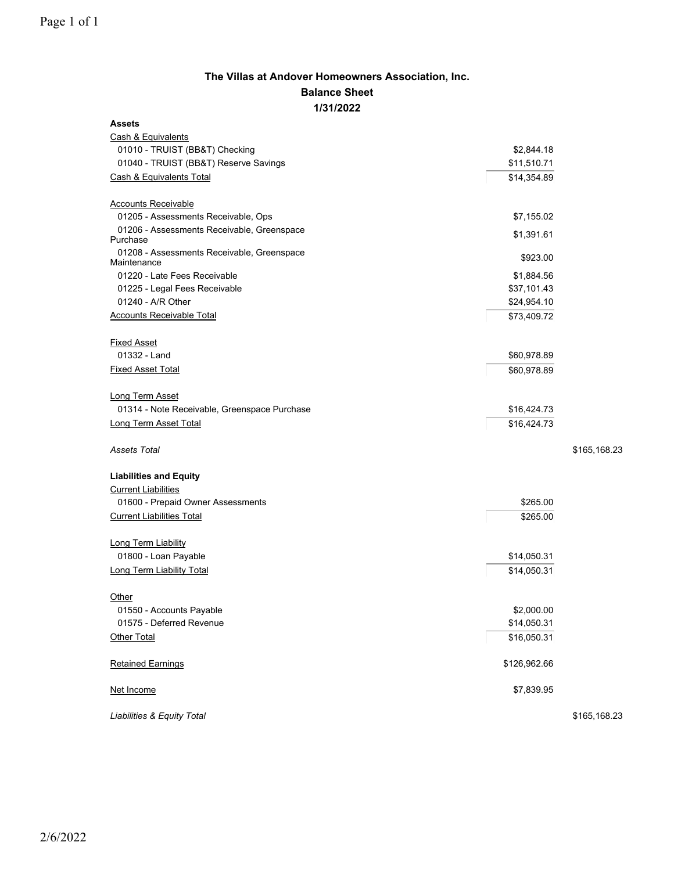## **The Villas at Andover Homeowners Association, Inc. Balance Sheet 1/31/2022**

| <b>Assets</b>                                             |              |              |
|-----------------------------------------------------------|--------------|--------------|
| Cash & Equivalents                                        |              |              |
| 01010 - TRUIST (BB&T) Checking                            | \$2,844.18   |              |
| 01040 - TRUIST (BB&T) Reserve Savings                     | \$11,510.71  |              |
| Cash & Equivalents Total                                  | \$14,354.89  |              |
| <b>Accounts Receivable</b>                                |              |              |
| 01205 - Assessments Receivable, Ops                       | \$7,155.02   |              |
| 01206 - Assessments Receivable, Greenspace<br>Purchase    | \$1,391.61   |              |
| 01208 - Assessments Receivable, Greenspace<br>Maintenance | \$923.00     |              |
| 01220 - Late Fees Receivable                              | \$1,884.56   |              |
| 01225 - Legal Fees Receivable                             | \$37,101.43  |              |
| 01240 - A/R Other                                         | \$24,954.10  |              |
| <b>Accounts Receivable Total</b>                          | \$73,409.72  |              |
| <b>Fixed Asset</b>                                        |              |              |
| 01332 - Land                                              | \$60,978.89  |              |
| <b>Fixed Asset Total</b>                                  | \$60,978.89  |              |
| <b>Long Term Asset</b>                                    |              |              |
| 01314 - Note Receivable, Greenspace Purchase              | \$16,424.73  |              |
| Long Term Asset Total                                     | \$16,424.73  |              |
| <b>Assets Total</b>                                       |              | \$165,168.23 |
| <b>Liabilities and Equity</b>                             |              |              |
| <b>Current Liabilities</b>                                |              |              |
| 01600 - Prepaid Owner Assessments                         | \$265.00     |              |
| <b>Current Liabilities Total</b>                          | \$265.00     |              |
| Long Term Liability                                       |              |              |
| 01800 - Loan Payable                                      | \$14,050.31  |              |
| <b>Long Term Liability Total</b>                          | \$14,050.31  |              |
| Other                                                     |              |              |
| 01550 - Accounts Payable                                  | \$2,000.00   |              |
| 01575 - Deferred Revenue                                  | \$14,050.31  |              |
| Other Total                                               | \$16,050.31  |              |
| <b>Retained Earnings</b>                                  | \$126,962.66 |              |
| Net Income                                                | \$7,839.95   |              |
| Liabilities & Equity Total                                |              | \$165,168.23 |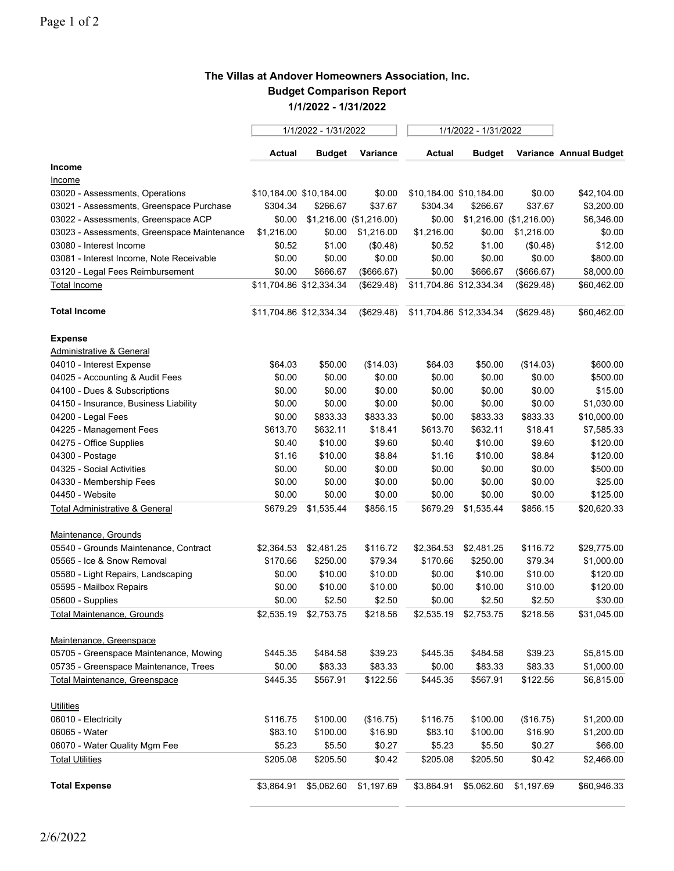## **The Villas at Andover Homeowners Association, Inc. Budget Comparison Report 1/1/2022 - 1/31/2022**

|                                             | 1/1/2022 - 1/31/2022    |                         |            | 1/1/2022 - 1/31/2022    |                         |                         |                        |
|---------------------------------------------|-------------------------|-------------------------|------------|-------------------------|-------------------------|-------------------------|------------------------|
|                                             | <b>Actual</b>           | <b>Budget</b>           | Variance   | <b>Actual</b>           | <b>Budget</b>           |                         | Variance Annual Budget |
| Income                                      |                         |                         |            |                         |                         |                         |                        |
| <u>Income</u>                               |                         |                         |            |                         |                         |                         |                        |
| 03020 - Assessments, Operations             | \$10,184.00 \$10,184.00 |                         | \$0.00     |                         | \$10,184.00 \$10,184.00 | \$0.00                  | \$42,104.00            |
| 03021 - Assessments, Greenspace Purchase    | \$304.34                | \$266.67                | \$37.67    | \$304.34                | \$266.67                | \$37.67                 | \$3,200.00             |
| 03022 - Assessments, Greenspace ACP         | \$0.00                  | \$1,216.00 (\$1,216.00) |            | \$0.00                  |                         | \$1,216.00 (\$1,216.00) | \$6,346.00             |
| 03023 - Assessments, Greenspace Maintenance | \$1,216.00              | \$0.00                  | \$1,216.00 | \$1,216.00              | \$0.00                  | \$1,216.00              | \$0.00                 |
| 03080 - Interest Income                     | \$0.52                  | \$1.00                  | (\$0.48)   | \$0.52                  | \$1.00                  | (\$0.48)                | \$12.00                |
| 03081 - Interest Income, Note Receivable    | \$0.00                  | \$0.00                  | \$0.00     | \$0.00                  | \$0.00                  | \$0.00                  | \$800.00               |
| 03120 - Legal Fees Reimbursement            | \$0.00                  | \$666.67                | (\$666.67) | \$0.00                  | \$666.67                | (\$666.67)              | \$8,000.00             |
| <b>Total Income</b>                         | \$11,704.86 \$12,334.34 |                         | (\$629.48) | \$11,704.86 \$12,334.34 |                         | (\$629.48)              | \$60,462.00            |
| <b>Total Income</b>                         | \$11,704.86 \$12,334.34 |                         | (\$629.48) | \$11,704.86 \$12,334.34 |                         | (\$629.48)              | \$60,462.00            |
| <b>Expense</b>                              |                         |                         |            |                         |                         |                         |                        |
| Administrative & General                    |                         |                         |            |                         |                         |                         |                        |
| 04010 - Interest Expense                    | \$64.03                 | \$50.00                 | (\$14.03)  | \$64.03                 | \$50.00                 | (\$14.03)               | \$600.00               |
| 04025 - Accounting & Audit Fees             | \$0.00                  | \$0.00                  | \$0.00     | \$0.00                  | \$0.00                  | \$0.00                  | \$500.00               |
| 04100 - Dues & Subscriptions                | \$0.00                  | \$0.00                  | \$0.00     | \$0.00                  | \$0.00                  | \$0.00                  | \$15.00                |
| 04150 - Insurance, Business Liability       | \$0.00                  | \$0.00                  | \$0.00     | \$0.00                  | \$0.00                  | \$0.00                  | \$1,030.00             |
| 04200 - Legal Fees                          | \$0.00                  | \$833.33                | \$833.33   | \$0.00                  | \$833.33                | \$833.33                | \$10,000.00            |
| 04225 - Management Fees                     | \$613.70                | \$632.11                | \$18.41    | \$613.70                | \$632.11                | \$18.41                 | \$7,585.33             |
| 04275 - Office Supplies                     | \$0.40                  | \$10.00                 | \$9.60     | \$0.40                  | \$10.00                 | \$9.60                  | \$120.00               |
| 04300 - Postage                             | \$1.16                  | \$10.00                 | \$8.84     | \$1.16                  | \$10.00                 | \$8.84                  | \$120.00               |
| 04325 - Social Activities                   | \$0.00                  | \$0.00                  | \$0.00     | \$0.00                  | \$0.00                  | \$0.00                  | \$500.00               |
| 04330 - Membership Fees                     | \$0.00                  | \$0.00                  | \$0.00     | \$0.00                  | \$0.00                  | \$0.00                  | \$25.00                |
| 04450 - Website                             | \$0.00                  | \$0.00                  | \$0.00     | \$0.00                  | \$0.00                  | \$0.00                  | \$125.00               |
| <b>Total Administrative &amp; General</b>   | \$679.29                | \$1,535.44              | \$856.15   | \$679.29                | \$1,535.44              | \$856.15                | \$20,620.33            |
| Maintenance, Grounds                        |                         |                         |            |                         |                         |                         |                        |
| 05540 - Grounds Maintenance, Contract       | \$2,364.53              | \$2,481.25              | \$116.72   | \$2,364.53              | \$2,481.25              | \$116.72                | \$29,775.00            |
| 05565 - Ice & Snow Removal                  | \$170.66                | \$250.00                | \$79.34    | \$170.66                | \$250.00                | \$79.34                 | \$1,000.00             |
| 05580 - Light Repairs, Landscaping          | \$0.00                  | \$10.00                 | \$10.00    | \$0.00                  | \$10.00                 | \$10.00                 | \$120.00               |
| 05595 - Mailbox Repairs                     | \$0.00                  | \$10.00                 | \$10.00    | \$0.00                  | \$10.00                 | \$10.00                 | \$120.00               |
| 05600 - Supplies                            | \$0.00                  | \$2.50                  | \$2.50     | \$0.00                  | \$2.50                  | \$2.50                  | \$30.00                |
| <u>Total Maintenance, Grounds</u>           | \$2,535.19              | \$2,753.75              | \$218.56   | \$2,535.19              | \$2,753.75              | \$218.56                | \$31,045.00            |
| Maintenance, Greenspace                     |                         |                         |            |                         |                         |                         |                        |
| 05705 - Greenspace Maintenance, Mowing      | \$445.35                | \$484.58                | \$39.23    | \$445.35                | \$484.58                | \$39.23                 | \$5,815.00             |
| 05735 - Greenspace Maintenance, Trees       | \$0.00                  | \$83.33                 | \$83.33    | \$0.00                  | \$83.33                 | \$83.33                 | \$1,000.00             |
| <b>Total Maintenance, Greenspace</b>        | \$445.35                | \$567.91                | \$122.56   | \$445.35                | \$567.91                | \$122.56                | \$6,815.00             |
| <b>Utilities</b>                            |                         |                         |            |                         |                         |                         |                        |
| 06010 - Electricity                         | \$116.75                | \$100.00                | (\$16.75)  | \$116.75                | \$100.00                | (\$16.75)               | \$1,200.00             |
| 06065 - Water                               | \$83.10                 | \$100.00                | \$16.90    | \$83.10                 | \$100.00                | \$16.90                 | \$1,200.00             |
| 06070 - Water Quality Mgm Fee               | \$5.23                  | \$5.50                  | \$0.27     | \$5.23                  | \$5.50                  | \$0.27                  | \$66.00                |
| <b>Total Utilities</b>                      | \$205.08                | \$205.50                | \$0.42     | \$205.08                | \$205.50                | \$0.42                  | \$2,466.00             |
| <b>Total Expense</b>                        | \$3,864.91              | \$5,062.60              | \$1,197.69 | \$3,864.91              | \$5,062.60              | \$1,197.69              | \$60,946.33            |
|                                             |                         |                         |            |                         |                         |                         |                        |